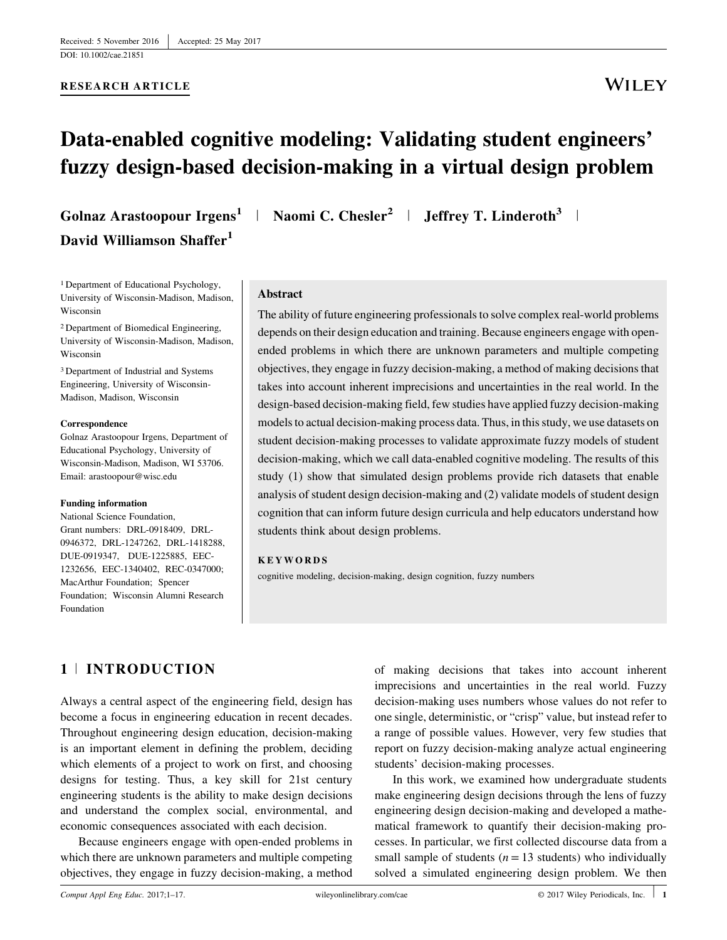#### RESEARCH ARTICLE

# **WILEY**

# Data-enabled cognitive modeling: Validating student engineers' fuzzy design-based decision-making in a virtual design problem

David Williamson Shaffer<sup>1</sup>

1 Department of Educational Psychology, University of Wisconsin-Madison, Madison, Wisconsin

2 Department of Biomedical Engineering, University of Wisconsin-Madison, Madison, Wisconsin

3 Department of Industrial and Systems Engineering, University of Wisconsin-Madison, Madison, Wisconsin

#### Correspondence

Golnaz Arastoopour Irgens, Department of Educational Psychology, University of Wisconsin-Madison, Madison, WI 53706. Email: arastoopour@wisc.edu

#### Funding information

National Science Foundation, Grant numbers: DRL-0918409, DRL-0946372, DRL-1247262, DRL-1418288, DUE-0919347, DUE-1225885, EEC-1232656, EEC-1340402, REC-0347000; MacArthur Foundation; Spencer Foundation; Wisconsin Alumni Research Foundation

Golnaz Arastoopour Irgens<sup>1</sup> | Naomi C. Chesler<sup>2</sup> | Jeffrey T. Linderoth<sup>3</sup> |

#### Abstract

The ability of future engineering professionals to solve complex real-world problems depends on their design education and training. Because engineers engage with openended problems in which there are unknown parameters and multiple competing objectives, they engage in fuzzy decision-making, a method of making decisions that takes into account inherent imprecisions and uncertainties in the real world. In the design-based decision-making field, few studies have applied fuzzy decision-making models to actual decision-making process data. Thus, in this study, we use datasets on student decision-making processes to validate approximate fuzzy models of student decision-making, which we call data-enabled cognitive modeling. The results of this study (1) show that simulated design problems provide rich datasets that enable analysis of student design decision-making and (2) validate models of student design cognition that can inform future design curricula and help educators understand how students think about design problems.

#### KEYWORDS

cognitive modeling, decision-making, design cognition, fuzzy numbers

# 1 <sup>|</sup> INTRODUCTION

Always a central aspect of the engineering field, design has become a focus in engineering education in recent decades. Throughout engineering design education, decision-making is an important element in defining the problem, deciding which elements of a project to work on first, and choosing designs for testing. Thus, a key skill for 21st century engineering students is the ability to make design decisions and understand the complex social, environmental, and economic consequences associated with each decision.

Because engineers engage with open-ended problems in which there are unknown parameters and multiple competing objectives, they engage in fuzzy decision-making, a method

of making decisions that takes into account inherent imprecisions and uncertainties in the real world. Fuzzy decision-making uses numbers whose values do not refer to one single, deterministic, or "crisp" value, but instead refer to a range of possible values. However, very few studies that report on fuzzy decision-making analyze actual engineering students' decision-making processes.

In this work, we examined how undergraduate students make engineering design decisions through the lens of fuzzy engineering design decision-making and developed a mathematical framework to quantify their decision-making processes. In particular, we first collected discourse data from a small sample of students ( $n = 13$  students) who individually solved a simulated engineering design problem. We then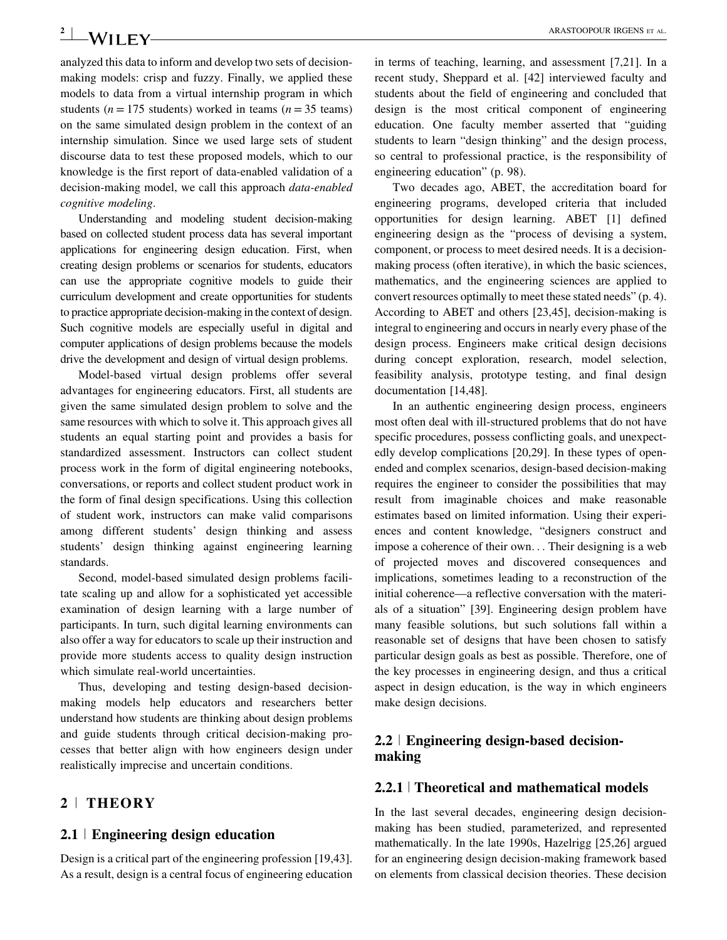$2$  **ARASTOOPOUR IRGENS ET AL.** ARASTOOPOUR IRGENS ET AL.

analyzed this data to inform and develop two sets of decisionmaking models: crisp and fuzzy. Finally, we applied these models to data from a virtual internship program in which students ( $n = 175$  students) worked in teams ( $n = 35$  teams) on the same simulated design problem in the context of an internship simulation. Since we used large sets of student discourse data to test these proposed models, which to our knowledge is the first report of data-enabled validation of a decision-making model, we call this approach data-enabled cognitive modeling.

Understanding and modeling student decision-making based on collected student process data has several important applications for engineering design education. First, when creating design problems or scenarios for students, educators can use the appropriate cognitive models to guide their curriculum development and create opportunities for students to practice appropriate decision-making in the context of design. Such cognitive models are especially useful in digital and computer applications of design problems because the models drive the development and design of virtual design problems.

Model-based virtual design problems offer several advantages for engineering educators. First, all students are given the same simulated design problem to solve and the same resources with which to solve it. This approach gives all students an equal starting point and provides a basis for standardized assessment. Instructors can collect student process work in the form of digital engineering notebooks, conversations, or reports and collect student product work in the form of final design specifications. Using this collection of student work, instructors can make valid comparisons among different students' design thinking and assess students' design thinking against engineering learning standards.

Second, model-based simulated design problems facilitate scaling up and allow for a sophisticated yet accessible examination of design learning with a large number of participants. In turn, such digital learning environments can also offer a way for educators to scale up their instruction and provide more students access to quality design instruction which simulate real-world uncertainties.

Thus, developing and testing design-based decisionmaking models help educators and researchers better understand how students are thinking about design problems and guide students through critical decision-making processes that better align with how engineers design under realistically imprecise and uncertain conditions.

# 2 <sup>|</sup> THEORY

## $2.1$  | Engineering design education

Design is a critical part of the engineering profession [19,43]. As a result, design is a central focus of engineering education in terms of teaching, learning, and assessment [7,21]. In a recent study, Sheppard et al. [42] interviewed faculty and students about the field of engineering and concluded that design is the most critical component of engineering education. One faculty member asserted that "guiding students to learn "design thinking" and the design process, so central to professional practice, is the responsibility of engineering education" (p. 98).

Two decades ago, ABET, the accreditation board for engineering programs, developed criteria that included opportunities for design learning. ABET [1] defined engineering design as the "process of devising a system, component, or process to meet desired needs. It is a decisionmaking process (often iterative), in which the basic sciences, mathematics, and the engineering sciences are applied to convert resources optimally to meet these stated needs" (p. 4). According to ABET and others [23,45], decision-making is integral to engineering and occurs in nearly every phase of the design process. Engineers make critical design decisions during concept exploration, research, model selection, feasibility analysis, prototype testing, and final design documentation [14,48].

In an authentic engineering design process, engineers most often deal with ill-structured problems that do not have specific procedures, possess conflicting goals, and unexpectedly develop complications [20,29]. In these types of openended and complex scenarios, design-based decision-making requires the engineer to consider the possibilities that may result from imaginable choices and make reasonable estimates based on limited information. Using their experiences and content knowledge, "designers construct and impose a coherence of their own... Their designing is a web of projected moves and discovered consequences and implications, sometimes leading to a reconstruction of the initial coherence—a reflective conversation with the materials of a situation" [39]. Engineering design problem have many feasible solutions, but such solutions fall within a reasonable set of designs that have been chosen to satisfy particular design goals as best as possible. Therefore, one of the key processes in engineering design, and thus a critical aspect in design education, is the way in which engineers make design decisions.

# 2.2 <sup>|</sup> Engineering design-based decisionmaking

# 2.2.1 <sup>|</sup> Theoretical and mathematical models

In the last several decades, engineering design decisionmaking has been studied, parameterized, and represented mathematically. In the late 1990s, Hazelrigg [25,26] argued for an engineering design decision-making framework based on elements from classical decision theories. These decision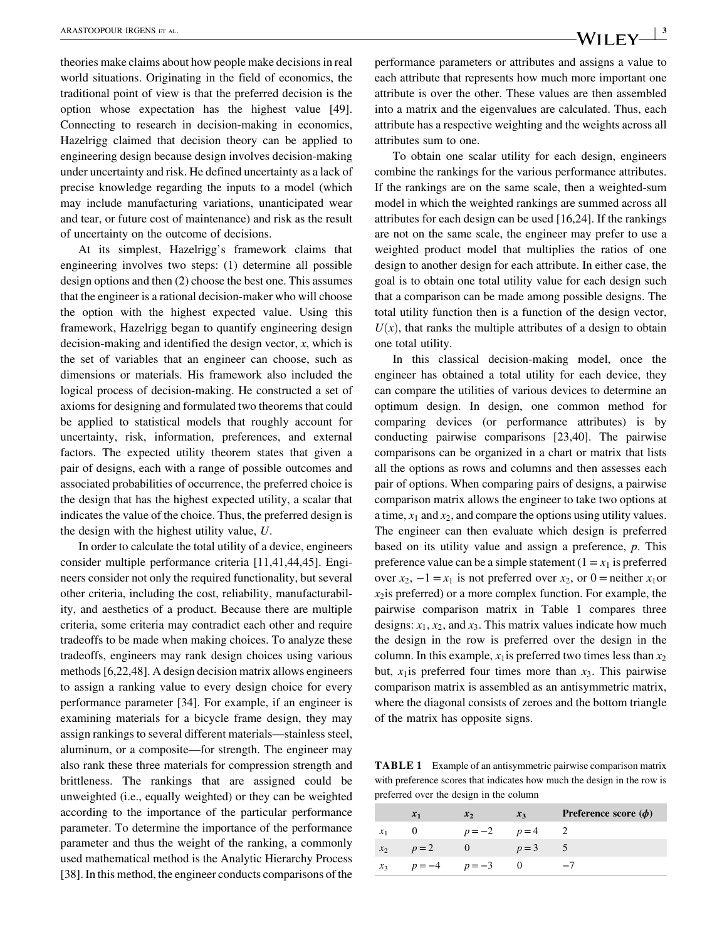theories make claims about how people make decisions in real world situations. Originating in the field of economics, the traditional point of view is that the preferred decision is the option whose expectation has the highest value [49]. Connecting to research in decision-making in economics, Hazelrigg claimed that decision theory can be applied to engineering design because design involves decision-making under uncertainty and risk. He defined uncertainty as a lack of precise knowledge regarding the inputs to a model (which may include manufacturing variations, unanticipated wear and tear, or future cost of maintenance) and risk as the result of uncertainty on the outcome of decisions.

At its simplest, Hazelrigg's framework claims that engineering involves two steps: (1) determine all possible design options and then (2) choose the best one. This assumes that the engineer is a rational decision-maker who will choose the option with the highest expected value. Using this framework, Hazelrigg began to quantify engineering design decision-making and identified the design vector,  $x$ , which is the set of variables that an engineer can choose, such as dimensions or materials. His framework also included the logical process of decision-making. He constructed a set of axioms for designing and formulated two theorems that could be applied to statistical models that roughly account for uncertainty, risk, information, preferences, and external factors. The expected utility theorem states that given a pair of designs, each with a range of possible outcomes and associated probabilities of occurrence, the preferred choice is the design that has the highest expected utility, a scalar that indicates the value of the choice. Thus, the preferred design is the design with the highest utility value, U.

In order to calculate the total utility of a device, engineers consider multiple performance criteria [11,41,44,45]. Engineers consider not only the required functionality, but several other criteria, including the cost, reliability, manufacturability, and aesthetics of a product. Because there are multiple criteria, some criteria may contradict each other and require tradeoffs to be made when making choices. To analyze these tradeoffs, engineers may rank design choices using various methods [6,22,48]. A design decision matrix allows engineers to assign a ranking value to every design choice for every performance parameter [34]. For example, if an engineer is examining materials for a bicycle frame design, they may assign rankings to several different materials—stainless steel, aluminum, or a composite—for strength. The engineer may also rank these three materials for compression strength and brittleness. The rankings that are assigned could be unweighted (i.e., equally weighted) or they can be weighted according to the importance of the particular performance parameter. To determine the importance of the performance parameter and thus the weight of the ranking, a commonly used mathematical method is the Analytic Hierarchy Process [38]. In this method, the engineer conducts comparisons of the performance parameters or attributes and assigns a value to each attribute that represents how much more important one attribute is over the other. These values are then assembled into a matrix and the eigenvalues are calculated. Thus, each attribute has a respective weighting and the weights across all attributes sum to one.

To obtain one scalar utility for each design, engineers combine the rankings for the various performance attributes. If the rankings are on the same scale, then a weighted-sum model in which the weighted rankings are summed across all attributes for each design can be used [16,24]. If the rankings are not on the same scale, the engineer may prefer to use a weighted product model that multiplies the ratios of one design to another design for each attribute. In either case, the goal is to obtain one total utility value for each design such that a comparison can be made among possible designs. The total utility function then is a function of the design vector,  $U(x)$ , that ranks the multiple attributes of a design to obtain one total utility.

In this classical decision-making model, once the engineer has obtained a total utility for each device, they can compare the utilities of various devices to determine an optimum design. In design, one common method for comparing devices (or performance attributes) is by conducting pairwise comparisons [23,40]. The pairwise comparisons can be organized in a chart or matrix that lists all the options as rows and columns and then assesses each pair of options. When comparing pairs of designs, a pairwise comparison matrix allows the engineer to take two options at a time,  $x_1$  and  $x_2$ , and compare the options using utility values. The engineer can then evaluate which design is preferred based on its utility value and assign a preference, p. This preference value can be a simple statement  $(1 = x_1$  is preferred over  $x_2$ ,  $-1 = x_1$  is not preferred over  $x_2$ , or 0 = neither  $x_1$ or  $x_2$  is preferred) or a more complex function. For example, the pairwise comparison matrix in Table 1 compares three designs:  $x_1$ ,  $x_2$ , and  $x_3$ . This matrix values indicate how much the design in the row is preferred over the design in the column. In this example,  $x_1$  is preferred two times less than  $x_2$ but,  $x_1$  is preferred four times more than  $x_3$ . This pairwise comparison matrix is assembled as an antisymmetric matrix, where the diagonal consists of zeroes and the bottom triangle of the matrix has opposite signs.

TABLE 1 Example of an antisymmetric pairwise comparison matrix with preference scores that indicates how much the design in the row is preferred over the design in the column

|       | $x_1$               | $x_2$  | $x_3$ | <b>Preference score</b> $(\phi)$ |
|-------|---------------------|--------|-------|----------------------------------|
|       |                     | $p=-2$ | $p=4$ |                                  |
| $x_2$ | $p=2$               | $-0$   | $p=3$ |                                  |
|       | $x_3$ $p=-4$ $p=-3$ |        |       | $-7$                             |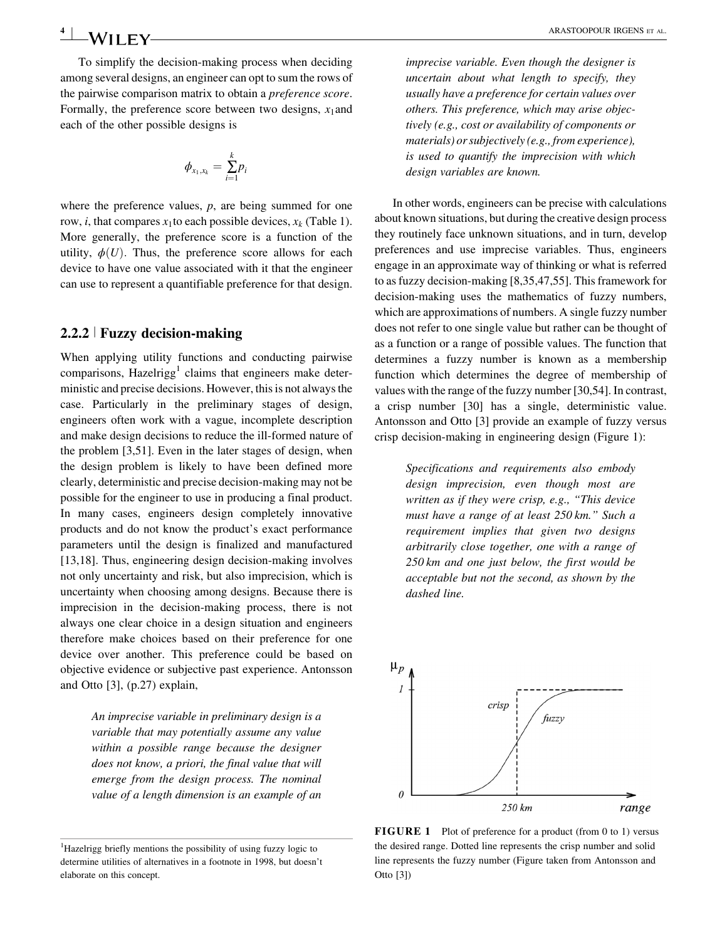**4 ARASTOOPOUR IRGENS ET AL. ARASTOOPOUR IRGENS** ET AL.

To simplify the decision-making process when deciding among several designs, an engineer can opt to sum the rows of the pairwise comparison matrix to obtain a preference score. Formally, the preference score between two designs,  $x_1$  and each of the other possible designs is

$$
\phi_{x_1,x_k}=\sum_{i=1}^k p_i
$$

where the preference values,  $p$ , are being summed for one row, *i*, that compares  $x_1$  to each possible devices,  $x_k$  (Table 1). More generally, the preference score is a function of the utility,  $\phi(U)$ . Thus, the preference score allows for each device to have one value associated with it that the engineer can use to represent a quantifiable preference for that design.

# 2.2.2 <sup>|</sup> Fuzzy decision-making

When applying utility functions and conducting pairwise comparisons, Hazelrigg<sup>1</sup> claims that engineers make deterministic and precise decisions. However, this is not always the case. Particularly in the preliminary stages of design, engineers often work with a vague, incomplete description and make design decisions to reduce the ill-formed nature of the problem [3,51]. Even in the later stages of design, when the design problem is likely to have been defined more clearly, deterministic and precise decision-making may not be possible for the engineer to use in producing a final product. In many cases, engineers design completely innovative products and do not know the product's exact performance parameters until the design is finalized and manufactured [13,18]. Thus, engineering design decision-making involves not only uncertainty and risk, but also imprecision, which is uncertainty when choosing among designs. Because there is imprecision in the decision-making process, there is not always one clear choice in a design situation and engineers therefore make choices based on their preference for one device over another. This preference could be based on objective evidence or subjective past experience. Antonsson and Otto [3], (p.27) explain,

> An imprecise variable in preliminary design is a variable that may potentially assume any value within a possible range because the designer does not know, a priori, the final value that will emerge from the design process. The nominal value of a length dimension is an example of an

imprecise variable. Even though the designer is uncertain about what length to specify, they usually have a preference for certain values over others. This preference, which may arise objectively (e.g., cost or availability of components or materials) or subjectively (e.g., from experience), is used to quantify the imprecision with which design variables are known.

In other words, engineers can be precise with calculations about known situations, but during the creative design process they routinely face unknown situations, and in turn, develop preferences and use imprecise variables. Thus, engineers engage in an approximate way of thinking or what is referred to as fuzzy decision-making [8,35,47,55]. This framework for decision-making uses the mathematics of fuzzy numbers, which are approximations of numbers. A single fuzzy number does not refer to one single value but rather can be thought of as a function or a range of possible values. The function that determines a fuzzy number is known as a membership function which determines the degree of membership of values with the range of the fuzzy number [30,54]. In contrast, a crisp number [30] has a single, deterministic value. Antonsson and Otto [3] provide an example of fuzzy versus crisp decision-making in engineering design (Figure 1):

> Specifications and requirements also embody design imprecision, even though most are written as if they were crisp, e.g., "This device must have a range of at least 250 km." Such a requirement implies that given two designs arbitrarily close together, one with a range of 250 km and one just below, the first would be acceptable but not the second, as shown by the dashed line.



FIGURE 1 Plot of preference for a product (from 0 to 1) versus the desired range. Dotted line represents the crisp number and solid line represents the fuzzy number (Figure taken from Antonsson and Otto [3])

<sup>&</sup>lt;sup>1</sup>Hazelrigg briefly mentions the possibility of using fuzzy logic to determine utilities of alternatives in a footnote in 1998, but doesn't elaborate on this concept.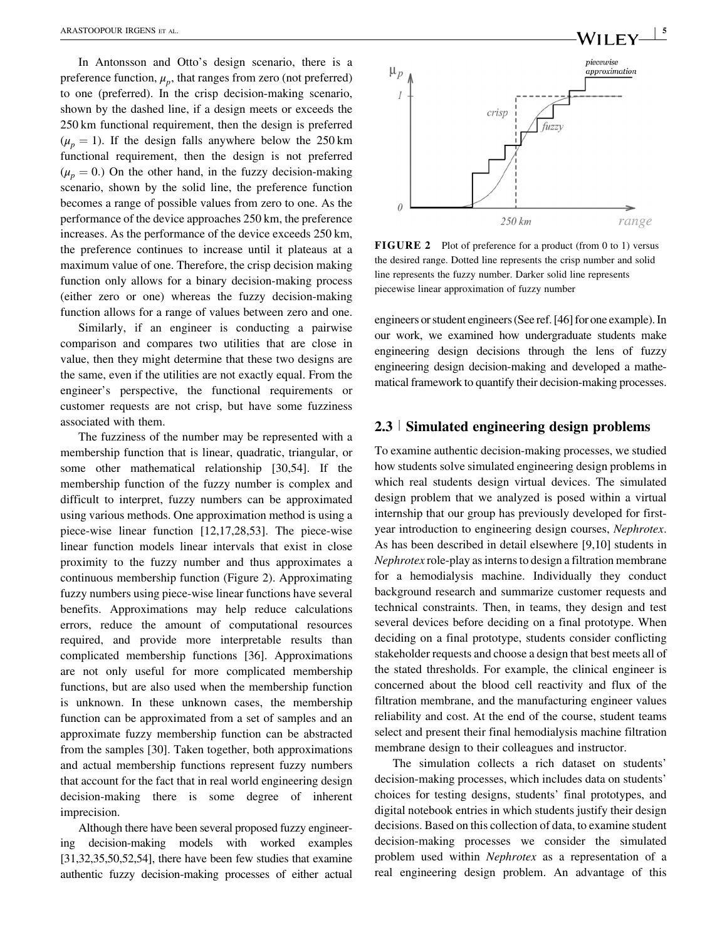In Antonsson and Otto's design scenario, there is a preference function,  $\mu_p$ , that ranges from zero (not preferred) to one (preferred). In the crisp decision-making scenario, shown by the dashed line, if a design meets or exceeds the 250 km functional requirement, then the design is preferred  $(\mu_p = 1)$ . If the design falls anywhere below the 250 km functional requirement, then the design is not preferred  $(\mu_p = 0)$ . On the other hand, in the fuzzy decision-making scenario, shown by the solid line, the preference function becomes a range of possible values from zero to one. As the performance of the device approaches 250 km, the preference increases. As the performance of the device exceeds 250 km, the preference continues to increase until it plateaus at a maximum value of one. Therefore, the crisp decision making function only allows for a binary decision-making process (either zero or one) whereas the fuzzy decision-making function allows for a range of values between zero and one.

Similarly, if an engineer is conducting a pairwise comparison and compares two utilities that are close in value, then they might determine that these two designs are the same, even if the utilities are not exactly equal. From the engineer's perspective, the functional requirements or customer requests are not crisp, but have some fuzziness associated with them.

The fuzziness of the number may be represented with a membership function that is linear, quadratic, triangular, or some other mathematical relationship [30,54]. If the membership function of the fuzzy number is complex and difficult to interpret, fuzzy numbers can be approximated using various methods. One approximation method is using a piece-wise linear function [12,17,28,53]. The piece-wise linear function models linear intervals that exist in close proximity to the fuzzy number and thus approximates a continuous membership function (Figure 2). Approximating fuzzy numbers using piece-wise linear functions have several benefits. Approximations may help reduce calculations errors, reduce the amount of computational resources required, and provide more interpretable results than complicated membership functions [36]. Approximations are not only useful for more complicated membership functions, but are also used when the membership function is unknown. In these unknown cases, the membership function can be approximated from a set of samples and an approximate fuzzy membership function can be abstracted from the samples [30]. Taken together, both approximations and actual membership functions represent fuzzy numbers that account for the fact that in real world engineering design decision-making there is some degree of inherent imprecision.

Although there have been several proposed fuzzy engineering decision-making models with worked examples [31,32,35,50,52,54], there have been few studies that examine authentic fuzzy decision-making processes of either actual



FIGURE 2 Plot of preference for a product (from 0 to 1) versus the desired range. Dotted line represents the crisp number and solid line represents the fuzzy number. Darker solid line represents piecewise linear approximation of fuzzy number

engineers or student engineers (See ref. [46] for one example). In our work, we examined how undergraduate students make engineering design decisions through the lens of fuzzy engineering design decision-making and developed a mathematical framework to quantify their decision-making processes.

#### 2.3 <sup>|</sup> Simulated engineering design problems

To examine authentic decision-making processes, we studied how students solve simulated engineering design problems in which real students design virtual devices. The simulated design problem that we analyzed is posed within a virtual internship that our group has previously developed for firstyear introduction to engineering design courses, Nephrotex. As has been described in detail elsewhere [9,10] students in Nephrotex role-play as interns to design a filtration membrane for a hemodialysis machine. Individually they conduct background research and summarize customer requests and technical constraints. Then, in teams, they design and test several devices before deciding on a final prototype. When deciding on a final prototype, students consider conflicting stakeholder requests and choose a design that best meets all of the stated thresholds. For example, the clinical engineer is concerned about the blood cell reactivity and flux of the filtration membrane, and the manufacturing engineer values reliability and cost. At the end of the course, student teams select and present their final hemodialysis machine filtration membrane design to their colleagues and instructor.

The simulation collects a rich dataset on students' decision-making processes, which includes data on students' choices for testing designs, students' final prototypes, and digital notebook entries in which students justify their design decisions. Based on this collection of data, to examine student decision-making processes we consider the simulated problem used within Nephrotex as a representation of a real engineering design problem. An advantage of this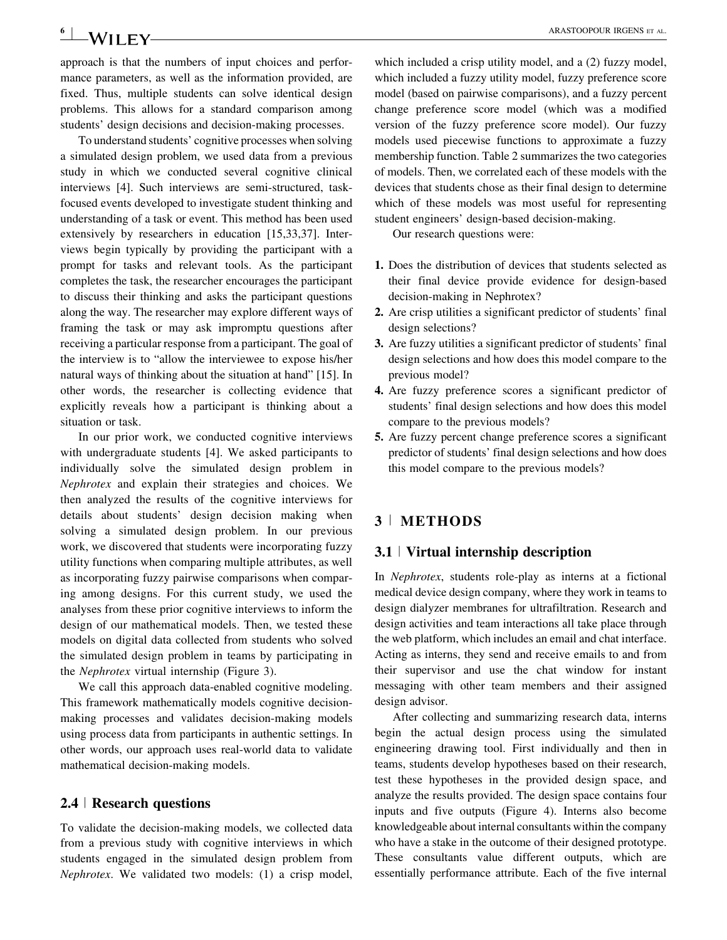# **6**  $\blacksquare$  **M/II**  $\blacktriangleright$  **V**  $\blacksquare$  **ARASTOOPOUR IRGENS** ET AL.

approach is that the numbers of input choices and performance parameters, as well as the information provided, are fixed. Thus, multiple students can solve identical design problems. This allows for a standard comparison among students' design decisions and decision-making processes.

To understand students' cognitive processes when solving a simulated design problem, we used data from a previous study in which we conducted several cognitive clinical interviews [4]. Such interviews are semi-structured, taskfocused events developed to investigate student thinking and understanding of a task or event. This method has been used extensively by researchers in education [15,33,37]. Interviews begin typically by providing the participant with a prompt for tasks and relevant tools. As the participant completes the task, the researcher encourages the participant to discuss their thinking and asks the participant questions along the way. The researcher may explore different ways of framing the task or may ask impromptu questions after receiving a particular response from a participant. The goal of the interview is to "allow the interviewee to expose his/her natural ways of thinking about the situation at hand" [15]. In other words, the researcher is collecting evidence that explicitly reveals how a participant is thinking about a situation or task.

In our prior work, we conducted cognitive interviews with undergraduate students [4]. We asked participants to individually solve the simulated design problem in Nephrotex and explain their strategies and choices. We then analyzed the results of the cognitive interviews for details about students' design decision making when solving a simulated design problem. In our previous work, we discovered that students were incorporating fuzzy utility functions when comparing multiple attributes, as well as incorporating fuzzy pairwise comparisons when comparing among designs. For this current study, we used the analyses from these prior cognitive interviews to inform the design of our mathematical models. Then, we tested these models on digital data collected from students who solved the simulated design problem in teams by participating in the Nephrotex virtual internship (Figure 3).

We call this approach data-enabled cognitive modeling. This framework mathematically models cognitive decisionmaking processes and validates decision-making models using process data from participants in authentic settings. In other words, our approach uses real-world data to validate mathematical decision-making models.

### 2.4 <sup>|</sup> Research questions

To validate the decision-making models, we collected data from a previous study with cognitive interviews in which students engaged in the simulated design problem from Nephrotex. We validated two models: (1) a crisp model, which included a crisp utility model, and a  $(2)$  fuzzy model, which included a fuzzy utility model, fuzzy preference score model (based on pairwise comparisons), and a fuzzy percent change preference score model (which was a modified version of the fuzzy preference score model). Our fuzzy models used piecewise functions to approximate a fuzzy membership function. Table 2 summarizes the two categories of models. Then, we correlated each of these models with the devices that students chose as their final design to determine which of these models was most useful for representing student engineers' design-based decision-making.

Our research questions were:

- 1. Does the distribution of devices that students selected as their final device provide evidence for design-based decision-making in Nephrotex?
- 2. Are crisp utilities a significant predictor of students' final design selections?
- 3. Are fuzzy utilities a significant predictor of students' final design selections and how does this model compare to the previous model?
- 4. Are fuzzy preference scores a significant predictor of students' final design selections and how does this model compare to the previous models?
- 5. Are fuzzy percent change preference scores a significant predictor of students' final design selections and how does this model compare to the previous models?

# 3 <sup>|</sup> METHODS

#### 3.1 <sup>|</sup> Virtual internship description

In Nephrotex, students role-play as interns at a fictional medical device design company, where they work in teams to design dialyzer membranes for ultrafiltration. Research and design activities and team interactions all take place through the web platform, which includes an email and chat interface. Acting as interns, they send and receive emails to and from their supervisor and use the chat window for instant messaging with other team members and their assigned design advisor.

After collecting and summarizing research data, interns begin the actual design process using the simulated engineering drawing tool. First individually and then in teams, students develop hypotheses based on their research, test these hypotheses in the provided design space, and analyze the results provided. The design space contains four inputs and five outputs (Figure 4). Interns also become knowledgeable about internal consultants within the company who have a stake in the outcome of their designed prototype. These consultants value different outputs, which are essentially performance attribute. Each of the five internal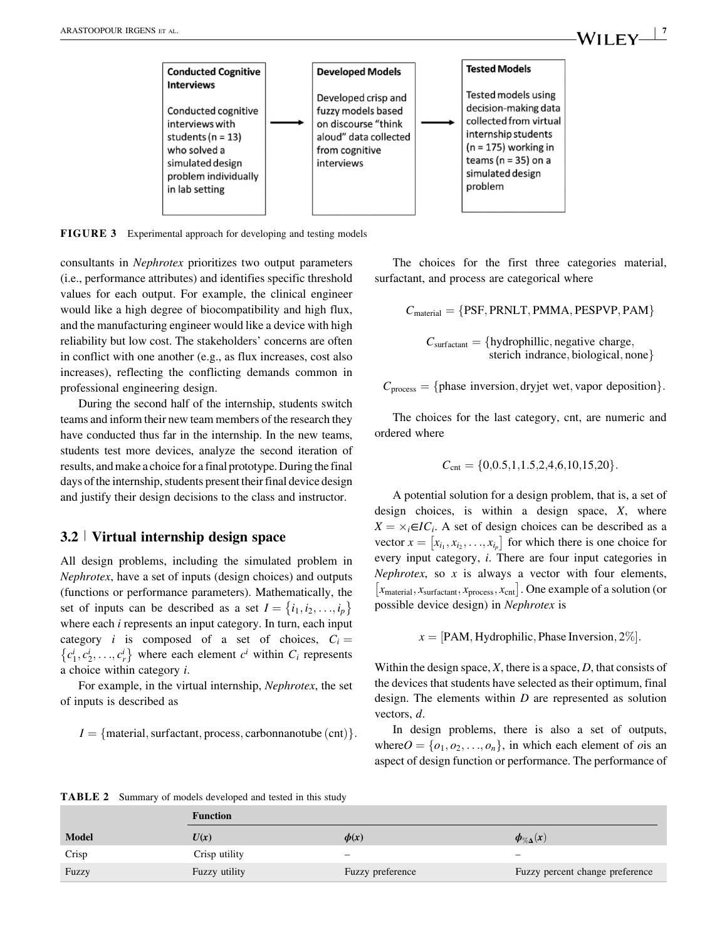

FIGURE 3 Experimental approach for developing and testing models

consultants in Nephrotex prioritizes two output parameters (i.e., performance attributes) and identifies specific threshold values for each output. For example, the clinical engineer would like a high degree of biocompatibility and high flux, and the manufacturing engineer would like a device with high reliability but low cost. The stakeholders' concerns are often in conflict with one another (e.g., as flux increases, cost also increases), reflecting the conflicting demands common in professional engineering design.

During the second half of the internship, students switch teams and inform their new team members of the research they have conducted thus far in the internship. In the new teams, students test more devices, analyze the second iteration of results, and make a choice for a final prototype. During the final days of the internship, students present their final device design and justify their design decisions to the class and instructor.

#### 3.2 <sup>|</sup> Virtual internship design space

All design problems, including the simulated problem in Nephrotex, have a set of inputs (design choices) and outputs (functions or performance parameters). Mathematically, the set of inputs can be described as a set  $I = \{i_1, i_2, \ldots, i_p\}$ where each *i* represents an input category. In turn, each input category *i* is composed of a set of choices,  $C_i =$  $\{c_1^i, c_2^i, \ldots, c_r^i\}$  where each element  $c^i$  within  $C_i$  represents a choice within category i.

For example, in the virtual internship, Nephrotex, the set of inputs is described as

 $I = \{$  material, surfactant, process, carbonnanotube (cnt)  $\}$ .

The choices for the first three categories material, surfactant, and process are categorical where

 $C_{\text{material}} = \{PSF, PRNLT, PMMA, PESPVP, PAM\}$ 

 $C_{\text{surface}} = \{\text{hydrophilic}, \text{negative charge},\}$ sterich indrance, biological, none

 $C_{\text{process}} = \{\text{phase inversion}, \text{dryjet wet}, \text{vapor deposition}\}.$ 

The choices for the last category, cnt, are numeric and ordered where

$$
C_{\rm cnt} = \{0, 0.5, 1, 1.5, 2, 4, 6, 10, 15, 20\}.
$$

A potential solution for a design problem, that is, a set of design choices, is within a design space, X, where  $X = \times_i \in IC_i$ . A set of design choices can be described as a vector  $x = [x_{i_1}, x_{i_2}, \dots, x_{i_p}]$  for which there is one choice for every input category, i. There are four input categories in Nephrotex, so  $x$  is always a vector with four elements,  $[x<sub>material</sub>, x<sub>surface</sub>, x<sub>process</sub>, x<sub>cnt</sub>]$ . One example of a solution (or possible device design) in Nephrotex is

 $x = |PAM, Hydrophilic, Phase Inversion, 2\%|$ .

Within the design space,  $X$ , there is a space,  $D$ , that consists of the devices that students have selected as their optimum, final design. The elements within  $D$  are represented as solution vectors, d.

In design problems, there is also a set of outputs, where  $O = \{o_1, o_2, \ldots, o_n\}$ , in which each element of *o* is an aspect of design function or performance. The performance of

TABLE 2 Summary of models developed and tested in this study

|              | <b>Function</b> |                          |                                 |  |  |  |
|--------------|-----------------|--------------------------|---------------------------------|--|--|--|
| <b>Model</b> | U(x)            | $\phi(x)$                | $\phi_{\% \Delta}(x)$           |  |  |  |
| Crisp        | Crisp utility   | $\overline{\phantom{0}}$ | $\overline{\phantom{0}}$        |  |  |  |
| Fuzzy        | Fuzzy utility   | Fuzzy preference         | Fuzzy percent change preference |  |  |  |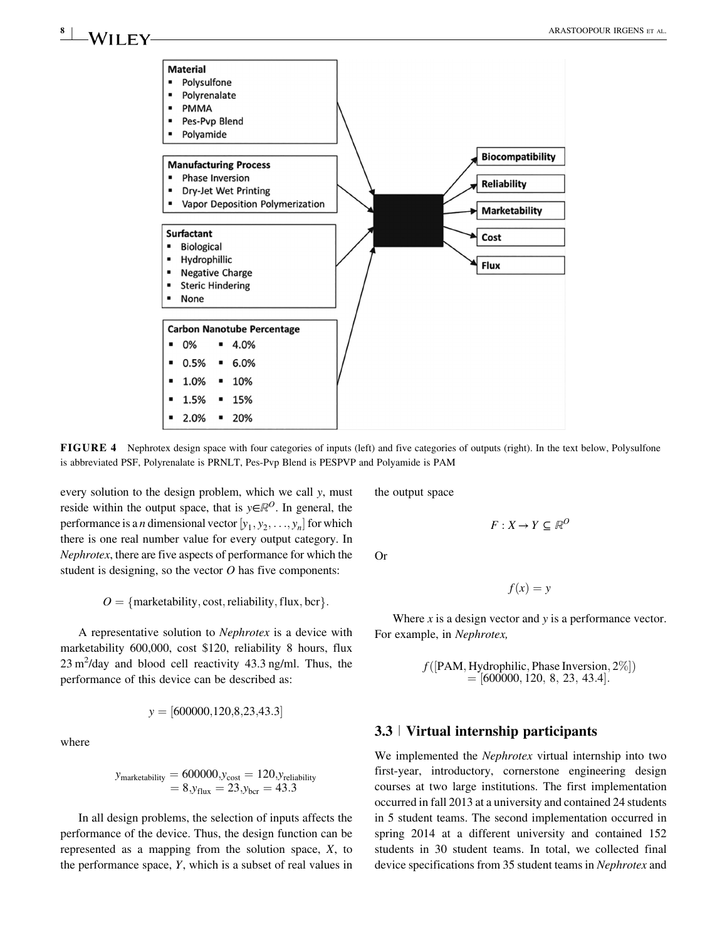

FIGURE 4 Nephrotex design space with four categories of inputs (left) and five categories of outputs (right). In the text below, Polysulfone is abbreviated PSF, Polyrenalate is PRNLT, Pes-Pvp Blend is PESPVP and Polyamide is PAM

every solution to the design problem, which we call y, must reside within the output space, that is  $y \in \mathbb{R}^{\mathcal{O}}$ . In general, the performance is a *n* dimensional vector  $[y_1, y_2, \ldots, y_n]$  for which there is one real number value for every output category. In Nephrotex, there are five aspects of performance for which the student is designing, so the vector  $O$  has five components:

 $O = \{mark$  f marketability, cost, reliability, flux, bcr  $\}$ .

A representative solution to Nephrotex is a device with marketability 600,000, cost \$120, reliability 8 hours, flux  $23 \text{ m}^2$ /day and blood cell reactivity 43.3 ng/ml. Thus, the performance of this device can be described as:

$$
y = [600000, 120, 8, 23, 43.3]
$$

where

$$
y_{\text{marketability}} = 600000, y_{\text{cost}} = 120, y_{\text{reliability}} = 8, y_{\text{flux}} = 23, y_{\text{ber}} = 43.3
$$

In all design problems, the selection of inputs affects the performance of the device. Thus, the design function can be represented as a mapping from the solution space, X, to the performance space,  $Y$ , which is a subset of real values in the output space

Or

$$
f(x) = y
$$

 $F: X \to Y \subseteq \mathbb{R}^O$ 

Where  $x$  is a design vector and  $y$  is a performance vector. For example, in Nephrotex,

$$
f([PAM, Hydrophilic, Phase Inversion, 2\%])
$$
  
= [600000, 120, 8, 23, 43.4].

### 3.3 <sup>|</sup> Virtual internship participants

We implemented the *Nephrotex* virtual internship into two first-year, introductory, cornerstone engineering design courses at two large institutions. The first implementation occurred in fall 2013 at a university and contained 24 students in 5 student teams. The second implementation occurred in spring 2014 at a different university and contained 152 students in 30 student teams. In total, we collected final device specifications from 35 student teams in Nephrotex and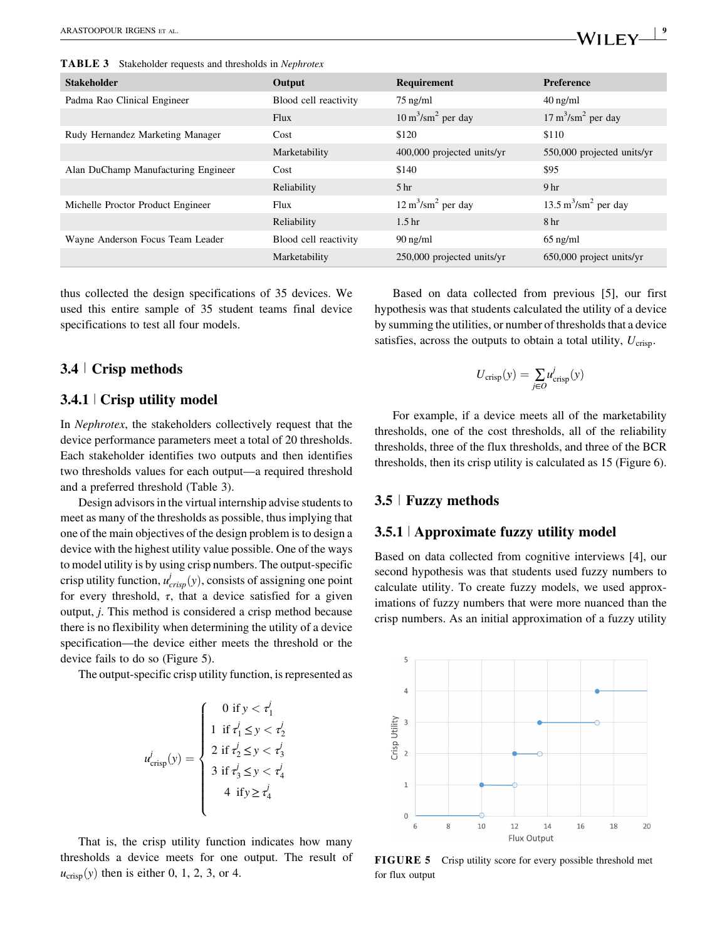TABLE 3 Stakeholder requests and thresholds in Nephrotex

| <b>Stakeholder</b>                  | Output                | Requirement                          | <b>Preference</b>                      |
|-------------------------------------|-----------------------|--------------------------------------|----------------------------------------|
| Padma Rao Clinical Engineer         | Blood cell reactivity | $75$ ng/ml                           | $40 \text{ ng/ml}$                     |
|                                     | Flux                  | $10 \text{ m}^3/\text{sm}^2$ per day | $17 \text{ m}^3/\text{sm}^2$ per day   |
| Rudy Hernandez Marketing Manager    | Cost                  | \$120                                | \$110                                  |
|                                     | Marketability         | 400,000 projected units/yr           | 550,000 projected units/yr             |
| Alan DuChamp Manufacturing Engineer | Cost                  | \$140                                | \$95                                   |
|                                     | Reliability           | 5 <sub>hr</sub>                      | 9 <sub>hr</sub>                        |
| Michelle Proctor Product Engineer   | Flux                  | $12 \text{ m}^3/\text{sm}^2$ per day | $13.5 \text{ m}^3/\text{sm}^2$ per day |
|                                     | Reliability           | 1.5 <sub>hr</sub>                    | 8 hr                                   |
| Wayne Anderson Focus Team Leader    | Blood cell reactivity | $90 \text{ ng/ml}$                   | $65$ ng/ml                             |
|                                     | Marketability         | 250,000 projected units/yr           | $650,000$ project units/yr             |

thus collected the design specifications of 35 devices. We used this entire sample of 35 student teams final device specifications to test all four models.

## 3.4 <sup>|</sup> Crisp methods

# 3.4.1 <sup>|</sup> Crisp utility model

In Nephrotex, the stakeholders collectively request that the device performance parameters meet a total of 20 thresholds. Each stakeholder identifies two outputs and then identifies two thresholds values for each output—a required threshold and a preferred threshold (Table 3).

Design advisors in the virtual internship advise students to meet as many of the thresholds as possible, thus implying that one of the main objectives of the design problem is to design a device with the highest utility value possible. One of the ways to model utility is by using crisp numbers. The output-specific crisp utility function,  $u_{crisp}^j(y)$ , consists of assigning one point for every threshold,  $\tau$ , that a device satisfied for a given output, j. This method is considered a crisp method because there is no flexibility when determining the utility of a device specification—the device either meets the threshold or the device fails to do so (Figure 5).

The output-specific crisp utility function, is represented as

$$
u_{\text{crisp}}^{j}(y) = \begin{cases} 0 & \text{if } y < \tau_{1}^{j} \\ 1 & \text{if } \tau_{1}^{j} \leq y < \tau_{2}^{j} \\ 2 & \text{if } \tau_{2}^{j} \leq y < \tau_{3}^{j} \\ 3 & \text{if } \tau_{3}^{j} \leq y < \tau_{4}^{j} \\ 4 & \text{if } y \geq \tau_{4}^{j} \end{cases}
$$

That is, the crisp utility function indicates how many thresholds a device meets for one output. The result of  $u_{\text{crisp}}(y)$  then is either 0, 1, 2, 3, or 4.

Based on data collected from previous [5], our first hypothesis was that students calculated the utility of a device by summing the utilities, or number of thresholds that a device satisfies, across the outputs to obtain a total utility,  $U_{\text{crisp}}$ .

$$
U_{\text{crisp}}(y) = \sum_{j \in O} u_{\text{crisp}}^j(y)
$$

For example, if a device meets all of the marketability thresholds, one of the cost thresholds, all of the reliability thresholds, three of the flux thresholds, and three of the BCR thresholds, then its crisp utility is calculated as 15 (Figure 6).

#### 3.5 <sup>|</sup> Fuzzy methods

#### 3.5.1 <sup>|</sup> Approximate fuzzy utility model

Based on data collected from cognitive interviews [4], our second hypothesis was that students used fuzzy numbers to calculate utility. To create fuzzy models, we used approximations of fuzzy numbers that were more nuanced than the crisp numbers. As an initial approximation of a fuzzy utility



FIGURE 5 Crisp utility score for every possible threshold met for flux output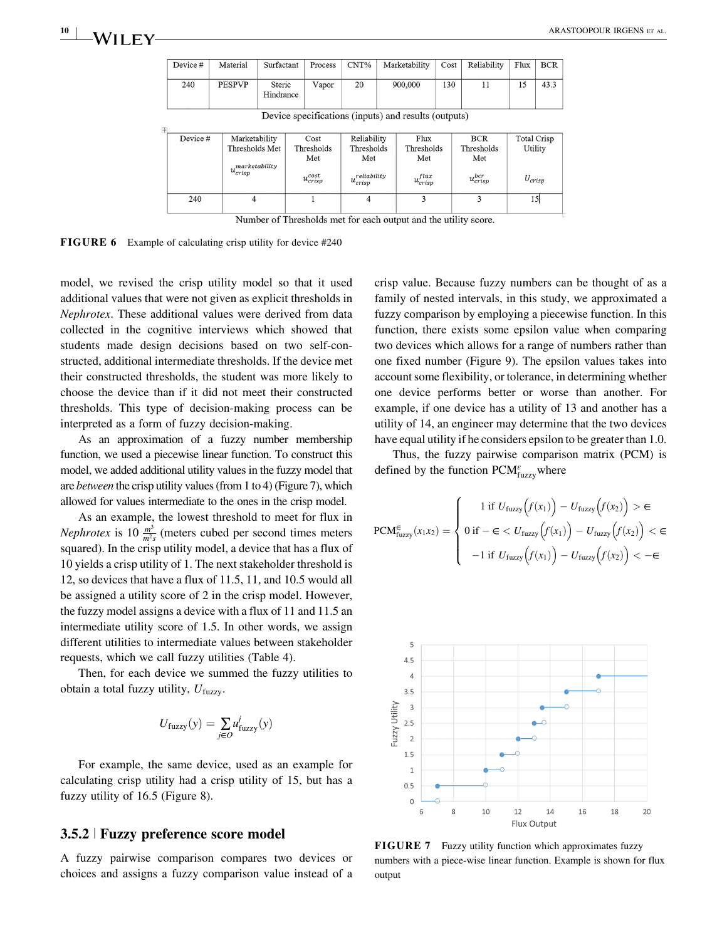| Device #                                             | Material                                                        | Surfactant          | Process                                         | CNT%                                                           |  | Marketability                                   | Cost | Reliability                                         | Flux                                  | BCR  |  |
|------------------------------------------------------|-----------------------------------------------------------------|---------------------|-------------------------------------------------|----------------------------------------------------------------|--|-------------------------------------------------|------|-----------------------------------------------------|---------------------------------------|------|--|
| 240                                                  | <b>PESPVP</b>                                                   | Steric<br>Hindrance | Vapor                                           | 20                                                             |  | 900,000                                         | 130  | 11                                                  | 15                                    | 43.3 |  |
| Device specifications (inputs) and results (outputs) |                                                                 |                     |                                                 |                                                                |  |                                                 |      |                                                     |                                       |      |  |
| Device #                                             | Marketability<br>Thresholds Met<br>marketability<br>$u_{crisp}$ |                     | Cost<br>Thresholds<br>Met<br>$u_{crisp}^{cost}$ | Reliability<br>Thresholds<br>Met<br>reliability<br>$u_{crisp}$ |  | Flux<br>Thresholds<br>Met<br>$u^{flux}_{crisp}$ |      | <b>BCR</b><br>Thresholds<br>Met<br>$u_{crisp}^{br}$ | Total Crisp<br>Utility<br>$U_{crisp}$ |      |  |
| 240                                                  | $\Delta$                                                        |                     |                                                 | Δ                                                              |  | ٩                                               |      |                                                     |                                       | เร∣  |  |

Number of Thresholds met for each output and the utility score.

FIGURE 6 Example of calculating crisp utility for device #240

model, we revised the crisp utility model so that it used additional values that were not given as explicit thresholds in Nephrotex. These additional values were derived from data collected in the cognitive interviews which showed that students made design decisions based on two self-constructed, additional intermediate thresholds. If the device met their constructed thresholds, the student was more likely to choose the device than if it did not meet their constructed thresholds. This type of decision-making process can be interpreted as a form of fuzzy decision-making.

As an approximation of a fuzzy number membership function, we used a piecewise linear function. To construct this model, we added additional utility values in the fuzzy model that are between the crisp utility values (from 1 to 4) (Figure 7), which allowed for values intermediate to the ones in the crisp model.

As an example, the lowest threshold to meet for flux in *Nephrotex* is 10  $\frac{m^3}{m^2s}$  (meters cubed per second times meters squared). In the crisp utility model, a device that has a flux of 10 yields a crisp utility of 1. The next stakeholder threshold is 12, so devices that have a flux of 11.5, 11, and 10.5 would all be assigned a utility score of 2 in the crisp model. However, the fuzzy model assigns a device with a flux of 11 and 11.5 an intermediate utility score of 1.5. In other words, we assign different utilities to intermediate values between stakeholder requests, which we call fuzzy utilities (Table 4).

Then, for each device we summed the fuzzy utilities to obtain a total fuzzy utility,  $U_{\text{fuzzy}}$ .

$$
U_{\text{fuzzy}}(y) = \sum_{j \in O} u_{\text{fuzzy}}^j(y)
$$

For example, the same device, used as an example for calculating crisp utility had a crisp utility of 15, but has a fuzzy utility of 16.5 (Figure 8).

#### 3.5.2 <sup>|</sup> Fuzzy preference score model

A fuzzy pairwise comparison compares two devices or choices and assigns a fuzzy comparison value instead of a

crisp value. Because fuzzy numbers can be thought of as a family of nested intervals, in this study, we approximated a fuzzy comparison by employing a piecewise function. In this function, there exists some epsilon value when comparing two devices which allows for a range of numbers rather than one fixed number (Figure 9). The epsilon values takes into account some flexibility, or tolerance, in determining whether one device performs better or worse than another. For example, if one device has a utility of 13 and another has a utility of 14, an engineer may determine that the two devices have equal utility if he considers epsilon to be greater than 1.0.

Thus, the fuzzy pairwise comparison matrix (PCM) is defined by the function  $\text{PCM}_{\text{fuzzy}}^{\varepsilon}$  where

$$
PCM_{fuzzy}^{\in}(x_1x_2) = \begin{cases} 1 \text{ if } U_{fuzzy}\left(f(x_1)\right) - U_{fuzzy}\left(f(x_2)\right) > \in\\ 0 \text{ if } -\in < U_{fuzzy}\left(f(x_1)\right) - U_{fuzzy}\left(f(x_2)\right) < \in\\ -1 \text{ if } U_{fuzzy}\left(f(x_1)\right) - U_{fuzzy}\left(f(x_2)\right) < -\in \end{cases}
$$



FIGURE 7 Fuzzy utility function which approximates fuzzy numbers with a piece-wise linear function. Example is shown for flux output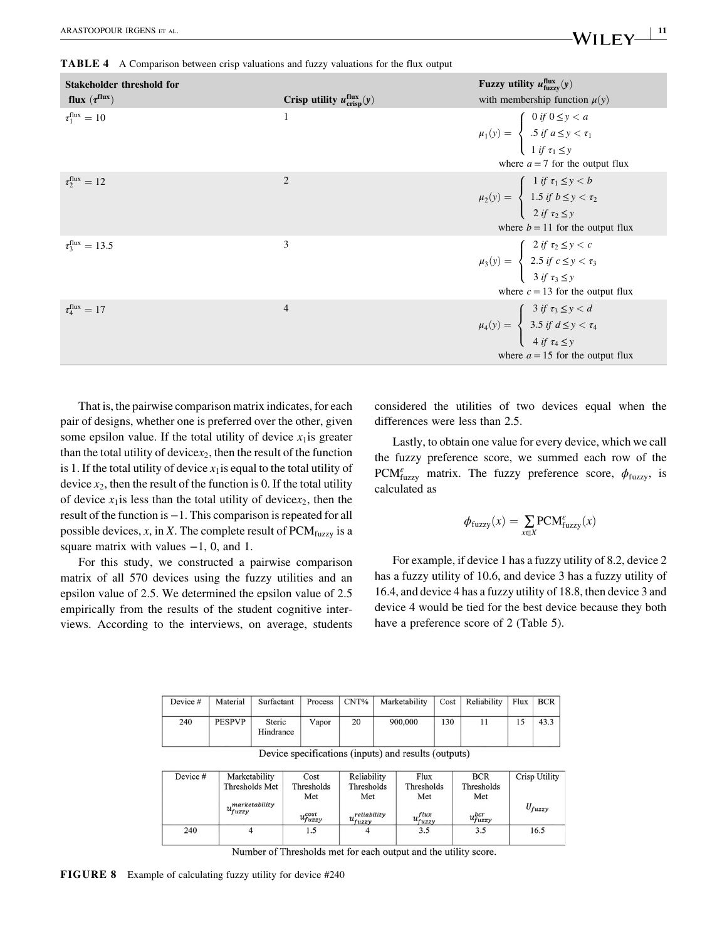TABLE 4 A Comparison between crisp valuations and fuzzy valuations for the flux output

| Stakeholder threshold for<br>flux $(\tau^{\text{flux}})$ | Crisp utility $u_{\text{crisp}}^{\text{flux}}(y)$ | Fuzzy utility $u_{\text{fuzzy}}^{\text{flux}}(y)$<br>with membership function $\mu(y)$                                                                                           |
|----------------------------------------------------------|---------------------------------------------------|----------------------------------------------------------------------------------------------------------------------------------------------------------------------------------|
| $\tau_1^{\text{flux}}=10$                                | 1                                                 | $\mu_1(y) = \begin{cases} 0 \text{ if } 0 \le y < a \\ .5 \text{ if } a \le y < \tau_1 \\ 1 \text{ if } \tau_1 \le y \end{cases}$<br>where $a = 7$ for the output flux           |
| $\tau_2^{\text{flux}}=12$                                | $\overline{2}$                                    | $\mu_2(y) = \begin{cases} 1 & \text{if } \tau_1 \leq y < b \\ 1.5 & \text{if } b \leq y < \tau_2 \\ 2 & \text{if } \tau_2 < y \end{cases}$<br>where $b = 11$ for the output flux |
| $\tau_3^{\text{flux}} = 13.5$                            | 3                                                 | $\mu_3(y) = \begin{cases} 2 \text{ if } \tau_2 \leq y < c \\ 2.5 \text{ if } c \leq y < \tau_3 \\ 3 \text{ if } \tau_2 \leq y \end{cases}$<br>where $c = 13$ for the output flux |
| $\tau_4^{\text{flux}}=17$                                | $\overline{4}$                                    | $\mu_4(y) = \begin{cases} 3 & \text{if } \tau_3 \leq y < d \\ 3.5 & \text{if } d \leq y < \tau_4 \\ 4 & \text{if } \tau_4 < y \end{cases}$<br>where $a = 15$ for the output flux |

That is, the pairwise comparison matrix indicates, for each pair of designs, whether one is preferred over the other, given some epsilon value. If the total utility of device  $x_1$  is greater than the total utility of device $x_2$ , then the result of the function is 1. If the total utility of device  $x_1$  is equal to the total utility of device  $x_2$ , then the result of the function is 0. If the total utility of device  $x_1$  is less than the total utility of device  $x_2$ , then the result of the function is −1. This comparison is repeated for all possible devices, x, in X. The complete result of  $PCM<sub>fuzzy</sub>$  is a square matrix with values  $-1$ , 0, and 1.

For this study, we constructed a pairwise comparison matrix of all 570 devices using the fuzzy utilities and an epsilon value of 2.5. We determined the epsilon value of 2.5 empirically from the results of the student cognitive interviews. According to the interviews, on average, students considered the utilities of two devices equal when the differences were less than 2.5.

Lastly, to obtain one value for every device, which we call the fuzzy preference score, we summed each row of the PCM<sub>fuzzy</sub> matrix. The fuzzy preference score,  $\phi_{\text{fuzzy}}$ , is calculated as

$$
\phi_{\text{fuzzy}}(x) = \underset{x \in X}{\sum} \text{PCM}_{\text{fuzzy}}^{\varepsilon}(x)
$$

For example, if device 1 has a fuzzy utility of 8.2, device 2 has a fuzzy utility of 10.6, and device 3 has a fuzzy utility of 16.4, and device 4 has a fuzzy utility of 18.8, then device 3 and device 4 would be tied for the best device because they both have a preference score of 2 (Table 5).

| Device # | Material      | Surfactant          | Process | CNT% | Marketability | Cost | Reliability | Flux | BCR  |
|----------|---------------|---------------------|---------|------|---------------|------|-------------|------|------|
| 240      | <b>PESPVP</b> | Steric<br>Hindrance | Vapor   | 20   | 900,000       | 130  |             |      | 43.3 |

Device specifications (inputs) and results (outputs)

| Device # | Marketability  | Cost               | Reliability                | Flux                | <b>BCR</b>        | Crisp Utility |
|----------|----------------|--------------------|----------------------------|---------------------|-------------------|---------------|
|          | Thresholds Met | Thresholds         | Thresholds                 | Thresholds          | Thresholds        |               |
|          |                | Met                | Met                        | Met                 | Met               |               |
|          | marketability. |                    |                            |                     |                   | $U_{fuzzy}$   |
|          | $u_{fuzzy}$    | $u_{fuzzy}^{cost}$ | reliability<br>$u_{fuzzy}$ | flux<br>$u_{fuzzy}$ | $u_{fuzzy}^{bcr}$ |               |
| 240      |                | 1.5                |                            | 3.5                 | 3.5               | 16.5          |
|          |                |                    |                            |                     |                   |               |

Number of Thresholds met for each output and the utility score.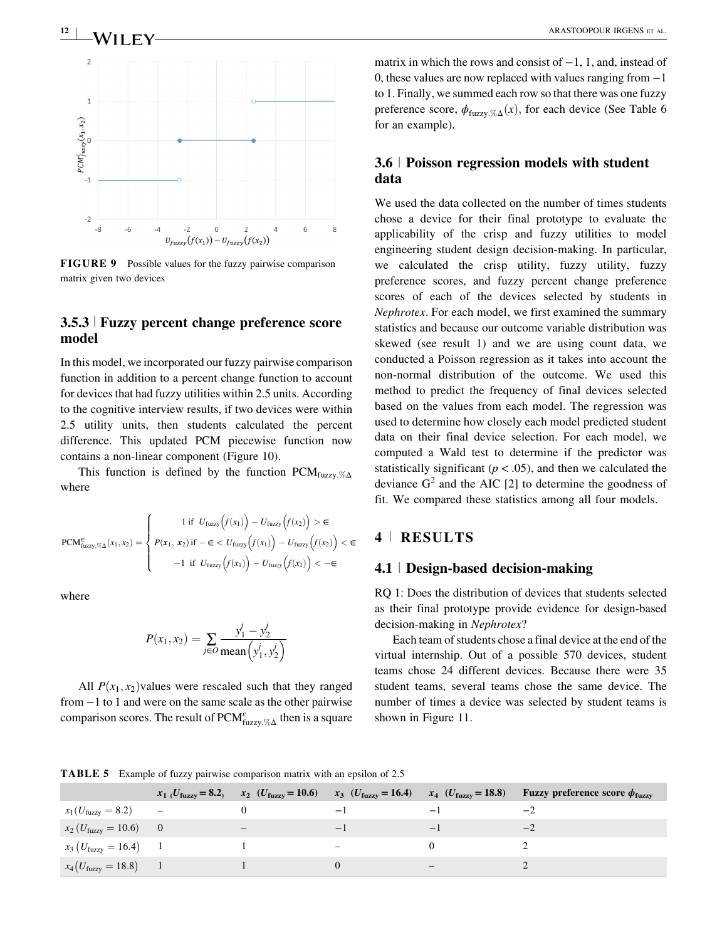# $\sim$  ARASTOOPOUR IRGENS ET AL.



FIGURE 9 Possible values for the fuzzy pairwise comparison matrix given two devices

## 3.5.3 <sup>|</sup> Fuzzy percent change preference score model

In this model, we incorporated our fuzzy pairwise comparison function in addition to a percent change function to account for devices that had fuzzy utilities within 2.5 units. According to the cognitive interview results, if two devices were within 2.5 utility units, then students calculated the percent difference. This updated PCM piecewise function now contains a non-linear component (Figure 10).

This function is defined by the function  $\text{PCM}_{\text{fuzzy}}$ ;  $\%$ where

$$
PCM_{fuzzy,\% \Delta}^{\in}(x_1, x_2) = \begin{cases} 1 & \text{if } U_{fuzzy}(f(x_1)) - U_{fuzzy}(f(x_2)) > \epsilon \\ P(x_1, x_2) & \text{if } -\epsilon < U_{fuzzy}(f(x_1)) - U_{fuzzy}(f(x_2)) < \epsilon \\ -1 & \text{if } U_{fuzzy}(f(x_1)) - U_{fuzzy}(f(x_2)) < -\epsilon \end{cases}
$$

where

$$
P(x_1, x_2) = \sum_{j \in O} \frac{y_1^j - y_2^j}{\text{mean}(y_1^j, y_2^j)}
$$

All  $P(x_1, x_2)$  values were rescaled such that they ranged from −1 to 1 and were on the same scale as the other pairwise comparison scores. The result of  $\text{PCM}_{\text{fuzzy}, \% \Delta}^{\varepsilon}$  then is a square

matrix in which the rows and consist of −1, 1, and, instead of 0, these values are now replaced with values ranging from −1 to 1. Finally, we summed each row so that there was one fuzzy preference score,  $\phi_{\text{fuzzy},\% \Delta}(x)$ , for each device (See Table 6 for an example).

# 3.6 <sup>|</sup> Poisson regression models with student data

We used the data collected on the number of times students chose a device for their final prototype to evaluate the applicability of the crisp and fuzzy utilities to model engineering student design decision-making. In particular, we calculated the crisp utility, fuzzy utility, fuzzy preference scores, and fuzzy percent change preference scores of each of the devices selected by students in Nephrotex. For each model, we first examined the summary statistics and because our outcome variable distribution was skewed (see result 1) and we are using count data, we conducted a Poisson regression as it takes into account the non-normal distribution of the outcome. We used this method to predict the frequency of final devices selected based on the values from each model. The regression was used to determine how closely each model predicted student data on their final device selection. For each model, we computed a Wald test to determine if the predictor was statistically significant ( $p < .05$ ), and then we calculated the deviance  $G<sup>2</sup>$  and the AIC [2] to determine the goodness of fit. We compared these statistics among all four models.

# 4 <sup>|</sup> RESULTS

### 4.1 <sup>|</sup> Design-based decision-making

RQ 1: Does the distribution of devices that students selected as their final prototype provide evidence for design-based decision-making in Nephrotex?

Each team of students chose a final device at the end of the virtual internship. Out of a possible 570 devices, student teams chose 24 different devices. Because there were 35 student teams, several teams chose the same device. The number of times a device was selected by student teams is shown in Figure 11.

TABLE 5 Example of fuzzy pairwise comparison matrix with an epsilon of 2.5

|                                  | $x_1$ ( <i>U</i> <sub>fuzzy</sub> = 8.2) | $x_2$ ( <i>U</i> <sub>fuzzy</sub> = 10.6) | $x_3$ ( $U_{\text{fuzzy}} = 16.4$ ) $x_4$ ( $U_{\text{fuzzy}} = 18.8$ ) |      | <b>Fuzzy preference score <math>\phi_{\text{fuzzy}}</math></b> |
|----------------------------------|------------------------------------------|-------------------------------------------|-------------------------------------------------------------------------|------|----------------------------------------------------------------|
| $x_1(U_{\text{fuzzy}} = 8.2)$    | $\qquad \qquad -$                        |                                           | $\overline{\phantom{0}}$                                                | $-1$ |                                                                |
| $x_2(U_{\text{fuzzy}} = 10.6)$   | $\hspace{1.6cm} 0$                       | $\overline{\phantom{m}}$                  | $-1$                                                                    | $-1$ | $-$ .                                                          |
| $x_3(U_{\text{fuzzy}} = 16.4)$ 1 |                                          |                                           | -                                                                       |      |                                                                |
| $x_4(U_{\text{fuzzy}} = 18.8)$   |                                          |                                           |                                                                         |      |                                                                |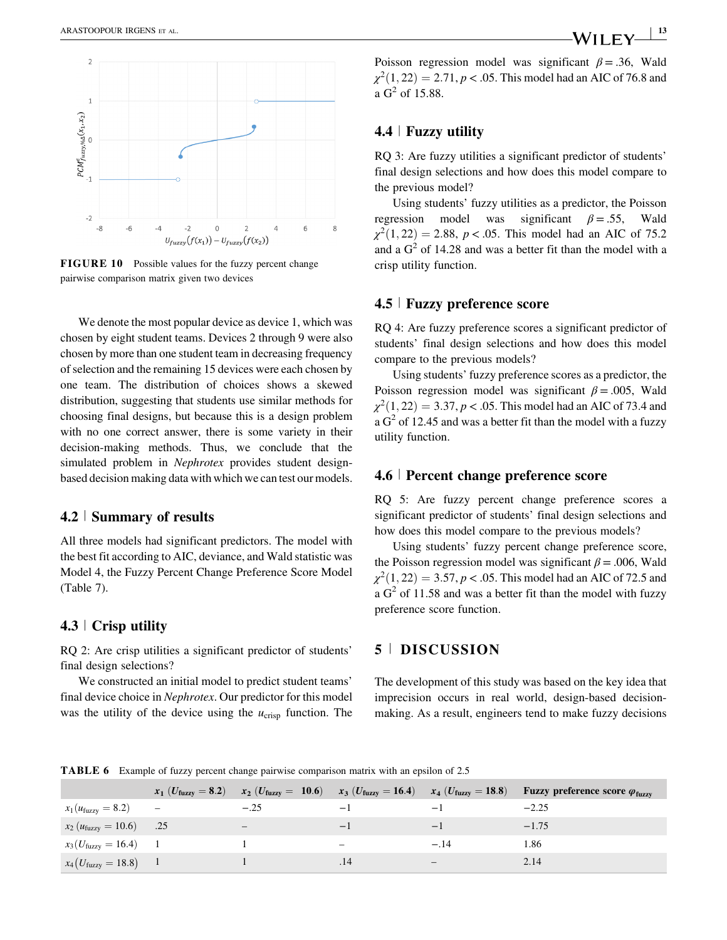

FIGURE 10 Possible values for the fuzzy percent change pairwise comparison matrix given two devices

We denote the most popular device as device 1, which was chosen by eight student teams. Devices 2 through 9 were also chosen by more than one student team in decreasing frequency of selection and the remaining 15 devices were each chosen by one team. The distribution of choices shows a skewed distribution, suggesting that students use similar methods for choosing final designs, but because this is a design problem with no one correct answer, there is some variety in their decision-making methods. Thus, we conclude that the simulated problem in Nephrotex provides student designbased decision making data with which we can test our models.

### 4.2 <sup>|</sup> Summary of results

All three models had significant predictors. The model with the best fit according to AIC, deviance, and Wald statistic was Model 4, the Fuzzy Percent Change Preference Score Model (Table 7).

# 4.3 <sup>|</sup> Crisp utility

RQ 2: Are crisp utilities a significant predictor of students' final design selections?

We constructed an initial model to predict student teams' final device choice in Nephrotex. Our predictor for this model was the utility of the device using the  $u_{\text{crisp}}$  function. The Poisson regression model was significant  $\beta = .36$ , Wald  $\chi^2(1, 22) = 2.71, p < .05$ . This model had an AIC of 76.8 and a  $G^2$  of 15.88.

# 4.4 <sup>|</sup> Fuzzy utility

RQ 3: Are fuzzy utilities a significant predictor of students' final design selections and how does this model compare to the previous model?

Using students' fuzzy utilities as a predictor, the Poisson regression model was significant  $\beta = .55$ , Wald  $\chi^2(1, 22) = 2.88$ , p < .05. This model had an AIC of 75.2 and a  $G<sup>2</sup>$  of 14.28 and was a better fit than the model with a crisp utility function.

#### 4.5 <sup>|</sup> Fuzzy preference score

RQ 4: Are fuzzy preference scores a significant predictor of students' final design selections and how does this model compare to the previous models?

Using students' fuzzy preference scores as a predictor, the Poisson regression model was significant  $\beta = .005$ , Wald  $\chi^2(1, 22) = 3.37, p < .05$ . This model had an AIC of 73.4 and a  $G<sup>2</sup>$  of 12.45 and was a better fit than the model with a fuzzy utility function.

#### 4.6 <sup>|</sup> Percent change preference score

RQ 5: Are fuzzy percent change preference scores a significant predictor of students' final design selections and how does this model compare to the previous models?

Using students' fuzzy percent change preference score, the Poisson regression model was significant  $\beta$  = .006, Wald  $\chi^2(1, 22) = 3.57, p < .05$ . This model had an AIC of 72.5 and a  $G<sup>2</sup>$  of 11.58 and was a better fit than the model with fuzzy preference score function.

# 5 <sup>|</sup> DISCUSSION

The development of this study was based on the key idea that imprecision occurs in real world, design-based decisionmaking. As a result, engineers tend to make fuzzy decisions

TABLE 6 Example of fuzzy percent change pairwise comparison matrix with an epsilon of 2.5

|                                  | $x_1$ ( <i>U</i> <sub>fuzzy</sub> = 8.2) | $x_2$ ( $U_{\text{fuzzy}} = 10.6$ ) $x_3$ ( $U_{\text{fuzzy}} = 16.4$ ) $x_4$ ( $U_{\text{fuzzy}} = 18.8$ ) |                   |        | <b>Fuzzy preference score <math>\varphi_{\text{fuzzy}}</math></b> |
|----------------------------------|------------------------------------------|-------------------------------------------------------------------------------------------------------------|-------------------|--------|-------------------------------------------------------------------|
| $x_1(u_{\text{fuzzy}} = 8.2)$    | $\qquad \qquad -$                        | $-.25$                                                                                                      | $-1$              | $-1$   |                                                                   |
| $x_2 (u_{\text{fuzzy}} = 10.6)$  | .25                                      | $\overline{\phantom{m}}$                                                                                    | $-1$              | $-1$   | $-1.75$                                                           |
| $x_3(U_{\text{fuzzy}} = 16.4)$ 1 |                                          |                                                                                                             | $\qquad \qquad -$ | $-.14$ | 1.86                                                              |
| $x_4(U_{\text{fuzzy}} = 18.8)$ 1 |                                          |                                                                                                             | .14               | -      | 2.14                                                              |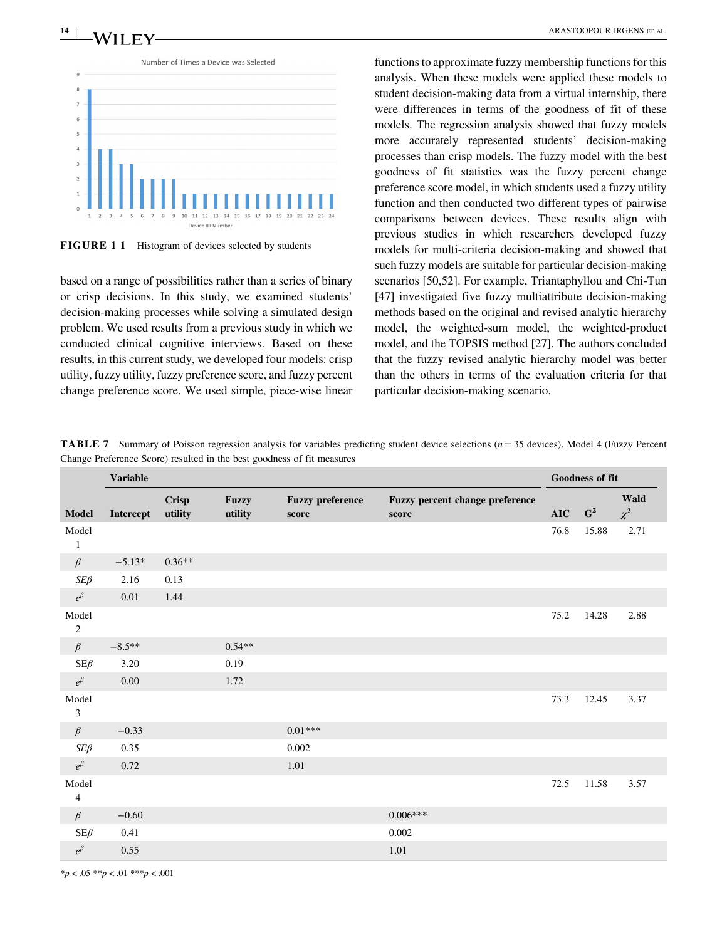$\frac{14}{14}$  MIT FV arrastoopour in the set of all arrastoopour in the set of all arrastoopour in the set of all arrastoopour in the set of all arrangements of  $\sim$ 



FIGURE 1 1 Histogram of devices selected by students

based on a range of possibilities rather than a series of binary or crisp decisions. In this study, we examined students' decision-making processes while solving a simulated design problem. We used results from a previous study in which we conducted clinical cognitive interviews. Based on these results, in this current study, we developed four models: crisp utility, fuzzy utility, fuzzy preference score, and fuzzy percent change preference score. We used simple, piece-wise linear

functions to approximate fuzzy membership functions for this analysis. When these models were applied these models to student decision-making data from a virtual internship, there were differences in terms of the goodness of fit of these models. The regression analysis showed that fuzzy models more accurately represented students' decision-making processes than crisp models. The fuzzy model with the best goodness of fit statistics was the fuzzy percent change preference score model, in which students used a fuzzy utility function and then conducted two different types of pairwise comparisons between devices. These results align with previous studies in which researchers developed fuzzy models for multi-criteria decision-making and showed that such fuzzy models are suitable for particular decision-making scenarios [50,52]. For example, Triantaphyllou and Chi-Tun [47] investigated five fuzzy multiattribute decision-making methods based on the original and revised analytic hierarchy model, the weighted-sum model, the weighted-product model, and the TOPSIS method [27]. The authors concluded that the fuzzy revised analytic hierarchy model was better than the others in terms of the evaluation criteria for that particular decision-making scenario.

**TABLE 7** Summary of Poisson regression analysis for variables predicting student device selections ( $n = 35$  devices). Model 4 (Fuzzy Percent Change Preference Score) resulted in the best goodness of fit measures

|                                      | <b>Variable</b> |                         |                         |                                  |                                          |                | Goodness of fit |                  |
|--------------------------------------|-----------------|-------------------------|-------------------------|----------------------------------|------------------------------------------|----------------|-----------------|------------------|
| <b>Model</b>                         | Intercept       | <b>Crisp</b><br>utility | <b>Fuzzy</b><br>utility | <b>Fuzzy preference</b><br>score | Fuzzy percent change preference<br>score | $\mathbf{AIC}$ | $G^2$           | Wald<br>$\chi^2$ |
| Model<br>$\mathbf{1}$                |                 |                         |                         |                                  |                                          | 76.8           | 15.88           | 2.71             |
| $\beta$                              | $-5.13*$        | $0.36**$                |                         |                                  |                                          |                |                 |                  |
| $SE\beta$                            | 2.16            | 0.13                    |                         |                                  |                                          |                |                 |                  |
| $e^{\beta}$                          | $0.01\,$        | 1.44                    |                         |                                  |                                          |                |                 |                  |
| Model<br>$\sqrt{2}$                  |                 |                         |                         |                                  |                                          | 75.2           | 14.28           | 2.88             |
| $\beta$                              | $-8.5***$       |                         | $0.54**$                |                                  |                                          |                |                 |                  |
| $SE\beta$                            | 3.20            |                         | 0.19                    |                                  |                                          |                |                 |                  |
| $e^{\beta}$                          | 0.00            |                         | 1.72                    |                                  |                                          |                |                 |                  |
| Model<br>$\ensuremath{\mathfrak{Z}}$ |                 |                         |                         |                                  |                                          | 73.3           | 12.45           | 3.37             |
| $\beta$                              | $-0.33$         |                         |                         | $0.01***$                        |                                          |                |                 |                  |
| $SE\beta$                            | 0.35            |                         |                         | 0.002                            |                                          |                |                 |                  |
| $e^{\beta}$                          | 0.72            |                         |                         | 1.01                             |                                          |                |                 |                  |
| Model<br>$\overline{4}$              |                 |                         |                         |                                  |                                          | 72.5           | 11.58           | 3.57             |
| $\beta$                              | $-0.60$         |                         |                         |                                  | $0.006***$                               |                |                 |                  |
| $SE\beta$                            | 0.41            |                         |                         |                                  | 0.002                                    |                |                 |                  |
| $e^{\beta}$                          | 0.55            |                         |                         |                                  | 1.01                                     |                |                 |                  |

 $*_{p}$  < .05  $*_{p}$  < .01  $*_{p}$  < .001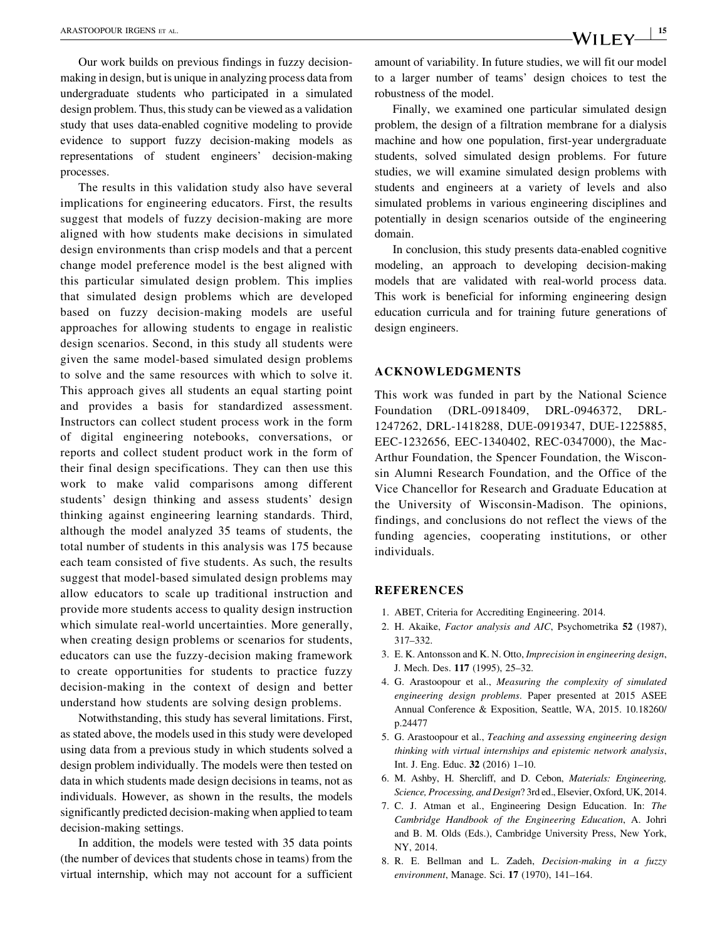Our work builds on previous findings in fuzzy decisionmaking in design, but is unique in analyzing process data from undergraduate students who participated in a simulated design problem. Thus, this study can be viewed as a validation study that uses data-enabled cognitive modeling to provide evidence to support fuzzy decision-making models as representations of student engineers' decision-making processes.

The results in this validation study also have several implications for engineering educators. First, the results suggest that models of fuzzy decision-making are more aligned with how students make decisions in simulated design environments than crisp models and that a percent change model preference model is the best aligned with this particular simulated design problem. This implies that simulated design problems which are developed based on fuzzy decision-making models are useful approaches for allowing students to engage in realistic design scenarios. Second, in this study all students were given the same model-based simulated design problems to solve and the same resources with which to solve it. This approach gives all students an equal starting point and provides a basis for standardized assessment. Instructors can collect student process work in the form of digital engineering notebooks, conversations, or reports and collect student product work in the form of their final design specifications. They can then use this work to make valid comparisons among different students' design thinking and assess students' design thinking against engineering learning standards. Third, although the model analyzed 35 teams of students, the total number of students in this analysis was 175 because each team consisted of five students. As such, the results suggest that model-based simulated design problems may allow educators to scale up traditional instruction and provide more students access to quality design instruction which simulate real-world uncertainties. More generally, when creating design problems or scenarios for students, educators can use the fuzzy-decision making framework to create opportunities for students to practice fuzzy decision-making in the context of design and better understand how students are solving design problems.

Notwithstanding, this study has several limitations. First, as stated above, the models used in this study were developed using data from a previous study in which students solved a design problem individually. The models were then tested on data in which students made design decisions in teams, not as individuals. However, as shown in the results, the models significantly predicted decision-making when applied to team decision-making settings.

In addition, the models were tested with 35 data points (the number of devices that students chose in teams) from the virtual internship, which may not account for a sufficient amount of variability. In future studies, we will fit our model to a larger number of teams' design choices to test the robustness of the model.

Finally, we examined one particular simulated design problem, the design of a filtration membrane for a dialysis machine and how one population, first-year undergraduate students, solved simulated design problems. For future studies, we will examine simulated design problems with students and engineers at a variety of levels and also simulated problems in various engineering disciplines and potentially in design scenarios outside of the engineering domain.

In conclusion, this study presents data-enabled cognitive modeling, an approach to developing decision-making models that are validated with real-world process data. This work is beneficial for informing engineering design education curricula and for training future generations of design engineers.

#### ACKNOWLEDGMENTS

This work was funded in part by the National Science Foundation (DRL-0918409, DRL-0946372, DRL-1247262, DRL-1418288, DUE-0919347, DUE-1225885, EEC-1232656, EEC-1340402, REC-0347000), the Mac-Arthur Foundation, the Spencer Foundation, the Wisconsin Alumni Research Foundation, and the Office of the Vice Chancellor for Research and Graduate Education at the University of Wisconsin-Madison. The opinions, findings, and conclusions do not reflect the views of the funding agencies, cooperating institutions, or other individuals.

#### REFERENCES

- 1. ABET, Criteria for Accrediting Engineering. 2014.
- 2. H. Akaike, Factor analysis and AIC, Psychometrika 52 (1987), 317–332.
- 3. E. K. Antonsson and K. N. Otto, Imprecision in engineering design, J. Mech. Des. 117 (1995), 25–32.
- 4. G. Arastoopour et al., Measuring the complexity of simulated engineering design problems. Paper presented at 2015 ASEE Annual Conference & Exposition, Seattle, WA, 2015. 10.18260/ p.24477
- 5. G. Arastoopour et al., Teaching and assessing engineering design thinking with virtual internships and epistemic network analysis, Int. J. Eng. Educ. 32 (2016) 1–10.
- 6. M. Ashby, H. Shercliff, and D. Cebon, Materials: Engineering, Science, Processing, and Design? 3rd ed., Elsevier, Oxford, UK, 2014.
- 7. C. J. Atman et al., Engineering Design Education. In: The Cambridge Handbook of the Engineering Education, A. Johri and B. M. Olds (Eds.), Cambridge University Press, New York, NY, 2014.
- 8. R. E. Bellman and L. Zadeh, Decision-making in a fuzzy environment, Manage. Sci. 17 (1970), 141–164.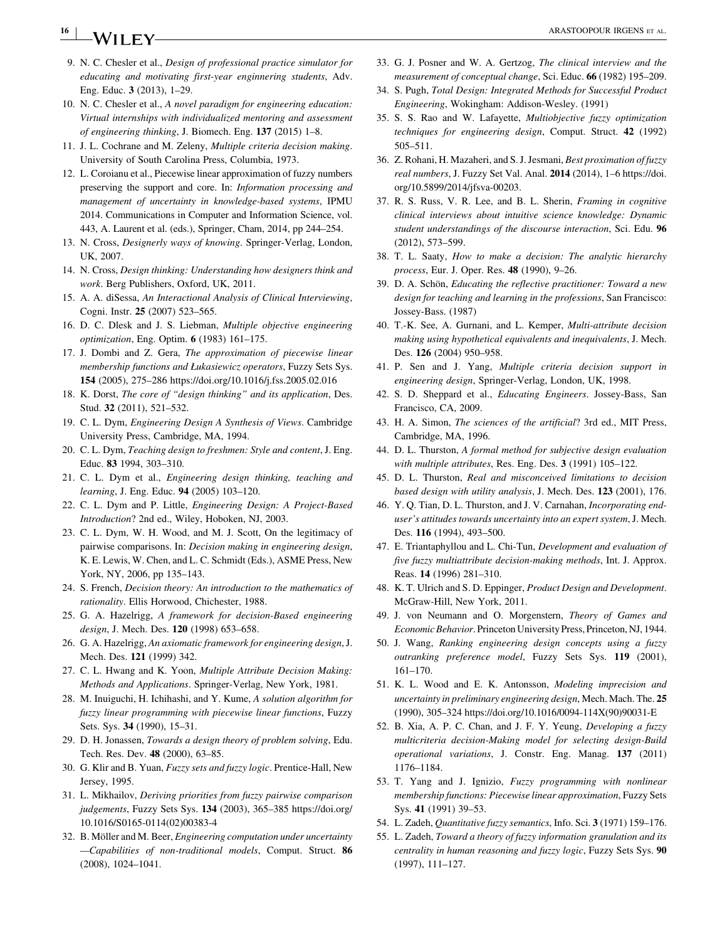# <sup>16</sup> <sup>|</sup> ARASTOOPOUR IRGENS ET AL.

- 9. N. C. Chesler et al., Design of professional practice simulator for educating and motivating first-year enginnering students, Adv. Eng. Educ. 3 (2013), 1–29.
- 10. N. C. Chesler et al., A novel paradigm for engineering education: Virtual internships with individualized mentoring and assessment of engineering thinking, J. Biomech. Eng. 137 (2015) 1–8.
- 11. J. L. Cochrane and M. Zeleny, Multiple criteria decision making. University of South Carolina Press, Columbia, 1973.
- 12. L. Coroianu et al., Piecewise linear approximation of fuzzy numbers preserving the support and core. In: Information processing and management of uncertainty in knowledge-based systems, IPMU 2014. Communications in Computer and Information Science, vol. 443, A. Laurent et al. (eds.), Springer, Cham, 2014, pp 244–254.
- 13. N. Cross, Designerly ways of knowing. Springer-Verlag, London, UK, 2007.
- 14. N. Cross, Design thinking: Understanding how designers think and work. Berg Publishers, Oxford, UK, 2011.
- 15. A. A. diSessa, An Interactional Analysis of Clinical Interviewing, Cogni. Instr. 25 (2007) 523–565.
- 16. D. C. Dlesk and J. S. Liebman, Multiple objective engineering optimization, Eng. Optim. 6 (1983) 161–175.
- 17. J. Dombi and Z. Gera, The approximation of piecewise linear membership functions and Łukasiewicz operators, Fuzzy Sets Sys. 154 (2005), 275–286 https://doi.org/10.1016/j.fss.2005.02.016
- 18. K. Dorst, The core of "design thinking" and its application, Des. Stud. 32 (2011), 521–532.
- 19. C. L. Dym, Engineering Design A Synthesis of Views. Cambridge University Press, Cambridge, MA, 1994.
- 20. C. L. Dym, Teaching design to freshmen: Style and content, J. Eng. Educ. 83 1994, 303–310.
- 21. C. L. Dym et al., Engineering design thinking, teaching and learning, J. Eng. Educ. 94 (2005) 103–120.
- 22. C. L. Dym and P. Little, Engineering Design: A Project-Based Introduction? 2nd ed., Wiley, Hoboken, NJ, 2003.
- 23. C. L. Dym, W. H. Wood, and M. J. Scott, On the legitimacy of pairwise comparisons. In: Decision making in engineering design, K. E. Lewis, W. Chen, and L. C. Schmidt (Eds.), ASME Press, New York, NY, 2006, pp 135–143.
- 24. S. French, Decision theory: An introduction to the mathematics of rationality. Ellis Horwood, Chichester, 1988.
- 25. G. A. Hazelrigg, A framework for decision-Based engineering design, J. Mech. Des. 120 (1998) 653–658.
- 26. G. A. Hazelrigg, An axiomatic framework for engineering design, J. Mech. Des. 121 (1999) 342.
- 27. C. L. Hwang and K. Yoon, Multiple Attribute Decision Making: Methods and Applications. Springer-Verlag, New York, 1981.
- 28. M. Inuiguchi, H. Ichihashi, and Y. Kume, A solution algorithm for fuzzy linear programming with piecewise linear functions, Fuzzy Sets. Sys. 34 (1990), 15–31.
- 29. D. H. Jonassen, Towards a design theory of problem solving, Edu. Tech. Res. Dev. 48 (2000), 63–85.
- 30. G. Klir and B. Yuan, Fuzzy sets and fuzzy logic. Prentice-Hall, New Jersey, 1995.
- 31. L. Mikhailov, Deriving priorities from fuzzy pairwise comparison judgements, Fuzzy Sets Sys. 134 (2003), 365–385 https://doi.org/ 10.1016/S0165-0114(02)00383-4
- 32. B. Möller and M. Beer, Engineering computation under uncertainty -Capabilities of non-traditional models, Comput. Struct. 86 (2008), 1024–1041.
- 33. G. J. Posner and W. A. Gertzog, The clinical interview and the measurement of conceptual change, Sci. Educ. 66 (1982) 195–209.
- 34. S. Pugh, Total Design: Integrated Methods for Successful Product Engineering, Wokingham: Addison-Wesley. (1991)
- 35. S. S. Rao and W. Lafayette, Multiobjective fuzzy optimization techniques for engineering design, Comput. Struct. 42 (1992) 505–511.
- 36. Z. Rohani, H. Mazaheri, and S. J. Jesmani, Best proximation of fuzzy real numbers, J. Fuzzy Set Val. Anal. 2014 (2014), 1–6 https://doi. org/10.5899/2014/jfsva-00203.
- 37. R. S. Russ, V. R. Lee, and B. L. Sherin, Framing in cognitive clinical interviews about intuitive science knowledge: Dynamic student understandings of the discourse interaction, Sci. Edu. 96 (2012), 573–599.
- 38. T. L. Saaty, How to make a decision: The analytic hierarchy process, Eur. J. Oper. Res. 48 (1990), 9–26.
- 39. D. A. Schön, Educating the reflective practitioner: Toward a new design for teaching and learning in the professions, San Francisco: Jossey-Bass. (1987)
- 40. T.-K. See, A. Gurnani, and L. Kemper, Multi-attribute decision making using hypothetical equivalents and inequivalents, J. Mech. Des. 126 (2004) 950–958.
- 41. P. Sen and J. Yang, Multiple criteria decision support in engineering design, Springer-Verlag, London, UK, 1998.
- 42. S. D. Sheppard et al., Educating Engineers. Jossey-Bass, San Francisco, CA, 2009.
- 43. H. A. Simon, The sciences of the artificial? 3rd ed., MIT Press, Cambridge, MA, 1996.
- 44. D. L. Thurston, A formal method for subjective design evaluation with multiple attributes, Res. Eng. Des. 3 (1991) 105-122.
- 45. D. L. Thurston, Real and misconceived limitations to decision based design with utility analysis, J. Mech. Des. 123 (2001), 176.
- 46. Y. Q. Tian, D. L. Thurston, and J. V. Carnahan, Incorporating enduser's attitudes towards uncertainty into an expert system, J. Mech. Des. 116 (1994), 493-500.
- 47. E. Triantaphyllou and L. Chi-Tun, Development and evaluation of five fuzzy multiattribute decision-making methods, Int. J. Approx. Reas. 14 (1996) 281–310.
- 48. K. T. Ulrich and S. D. Eppinger, Product Design and Development. McGraw-Hill, New York, 2011.
- 49. J. von Neumann and O. Morgenstern, Theory of Games and Economic Behavior. Princeton University Press, Princeton, NJ, 1944.
- 50. J. Wang, Ranking engineering design concepts using a fuzzy outranking preference model, Fuzzy Sets Sys. 119 (2001), 161–170.
- 51. K. L. Wood and E. K. Antonsson, Modeling imprecision and uncertainty in preliminary engineering design, Mech. Mach. The. 25 (1990), 305–324 https://doi.org/10.1016/0094-114X(90)90031-E
- 52. B. Xia, A. P. C. Chan, and J. F. Y. Yeung, Developing a fuzzy multicriteria decision-Making model for selecting design-Build operational variations, J. Constr. Eng. Manag. 137 (2011) 1176–1184.
- 53. T. Yang and J. Ignizio, Fuzzy programming with nonlinear membership functions: Piecewise linear approximation, Fuzzy Sets Sys. 41 (1991) 39–53.
- 54. L. Zadeh, Quantitative fuzzy semantics, Info. Sci. 3 (1971) 159–176.
- 55. L. Zadeh, Toward a theory of fuzzy information granulation and its centrality in human reasoning and fuzzy logic, Fuzzy Sets Sys. 90 (1997), 111–127.